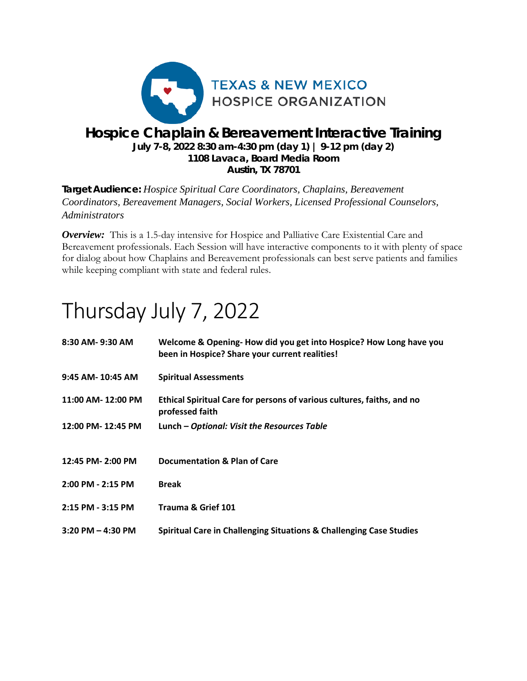

### *Hospice Chaplain & Bereavement Interactive Training* **July 7-8, 2022 8:30 am-4:30 pm (day 1) | 9-12 pm (day 2) 1108 Lavaca, Board Media Room Austin, TX 78701**

**Target Audience:** *Hospice Spiritual Care Coordinators, Chaplains, Bereavement Coordinators, Bereavement Managers, Social Workers, Licensed Professional Counselors, Administrators* 

**Overview:** This is a 1.5-day intensive for Hospice and Palliative Care Existential Care and Bereavement professionals. Each Session will have interactive components to it with plenty of space for dialog about how Chaplains and Bereavement professionals can best serve patients and families while keeping compliant with state and federal rules.

# Thursday July 7, 2022

| 8:30 AM-9:30 AM       | Welcome & Opening-How did you get into Hospice? How Long have you<br>been in Hospice? Share your current realities! |
|-----------------------|---------------------------------------------------------------------------------------------------------------------|
| 9:45 AM- 10:45 AM     | <b>Spiritual Assessments</b>                                                                                        |
| 11:00 AM-12:00 PM     | Ethical Spiritual Care for persons of various cultures, faiths, and no<br>professed faith                           |
| 12:00 PM-12:45 PM     | Lunch - Optional: Visit the Resources Table                                                                         |
|                       |                                                                                                                     |
| 12:45 PM- 2:00 PM     | Documentation & Plan of Care                                                                                        |
| 2:00 PM - 2:15 PM     | <b>Break</b>                                                                                                        |
| 2:15 PM - 3:15 PM     | Trauma & Grief 101                                                                                                  |
| $3:20$ PM $-$ 4:30 PM | Spiritual Care in Challenging Situations & Challenging Case Studies                                                 |